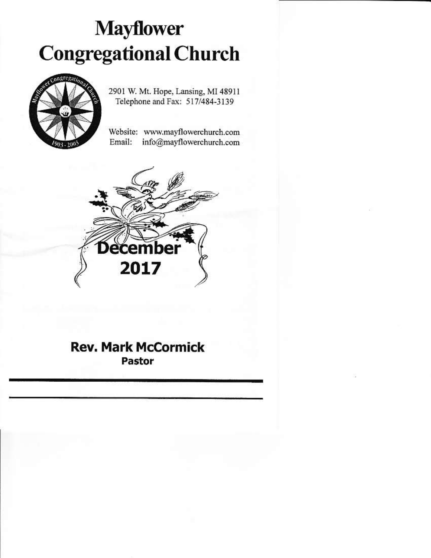# **Mayflower Congregational Church**



2901 W. Mt. Hope, Lansing, MI 48911 Telephone and Fax: 517/484-3139

Website: www.mayflowerchurch.com Email: info@mayflowerchurch.com



## **Rev. Mark McCormick** Pastor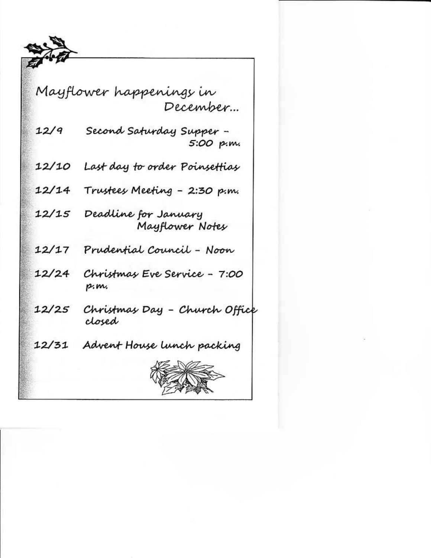

|       | Mayflower happenings in                 |
|-------|-----------------------------------------|
|       | December…                               |
| 12/9  | - Second Saturday Supper<br>.s:00 p.m   |
| 12/10 | Last day to order Poinsettias           |
| 12/14 | Trustees Meeting - 2:30 p.m.            |
| 12/15 | Deadline for January<br>Mayflower Notes |
| 12/17 | Prudential Council - Noon               |
| 12/24 | Christmas Eve Service - 7:00<br>p.m.    |
| 12/25 | Christmas Day - Church Office<br>closed |
| 12/31 | Advent House lunch packing              |
|       |                                         |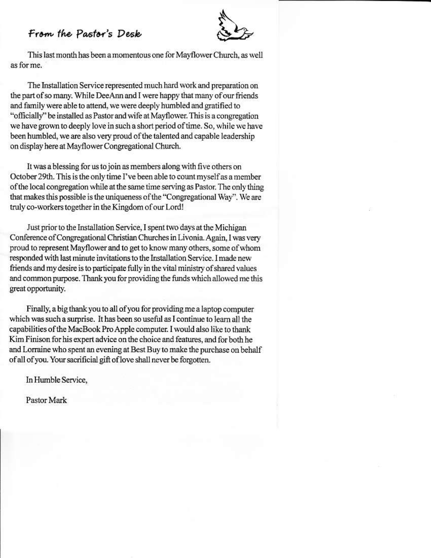### From the Pastor's Desk



This last month has been a momentous one for Mayflower Church, as well as for me.

The Installation Service represented much hard work and preparation on the part of so many. While DeeAnn and I were happy that many of our friends and family were able to attend, we were deeply humbled and gratified to "officially" be installed as Pastor and wife at Mayflower. This is a congregation we have grown to deeply love in such a short period of time. So, while we have been humbled, we are also very proud of the talented and capable leadership on display here at Mayflower Congregational Church.

It was a blessing for us to join as members along with five others on October 29th. This is the only time I've been able to count myself as a member of the local congregation while at the same time serving as Pastor. The only thing that makes this possible is the uniqueness of the "Congregational Way". We are truly co-workers together in the Kingdom of our Lord!

Just prior to the Installation Service, I spent two days at the Michigan Conference of Congregational Christian Churches in Livonia. Again, I was very proud to represent Mayflower and to get to know many others, some of whom responded with last minute invitations to the Installation Service. I made new friends and my desire is to participate fully in the vital ministry of shared values and common purpose. Thank you for providing the funds which allowed me this great opportunity.

Finally, a big thank you to all of you for providing me a laptop computer which was such a surprise. It has been so useful as I continue to learn all the capabilities of the MacBook Pro Apple computer. I would also like to thank Kim Finison for his expert advice on the choice and features, and for both he and Lorraine who spent an evening at Best Buy to make the purchase on behalf of all of you. Your sacrificial gift of love shall never be forgotten.

In Humble Service,

Pastor Mark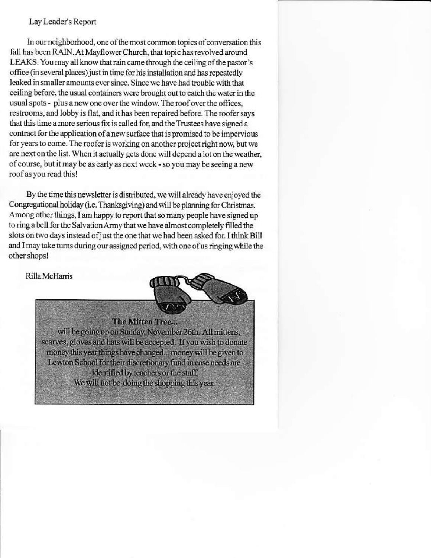#### Lay Leader's Report

In our neighborhood, one of the most common topics of conversation this fall has been RAIN. At Mayflower Church, that topic has revolved around LEAKS. You may all know that rain came through the ceiling of the pastor's office (in several places) just in time for his installation and has repeatedly leaked in smaller amounts ever since. Since we have had trouble with that ceiling before, the usual containers were brought out to catch the water in the usual spots - plus a new one over the window. The roof over the offices, restrooms, and lobby is flat, and it has been repaired before. The roofer says that this time a more serious fix is called for, and the Trustees have signed a contract for the application of a new surface that is promised to be impervious for years to come. The roofer is working on another project right now, but we are next on the list. When it actually gets done will depend a lot on the weather, of course, but it may be as early as next week - so you may be seeing a new roof as you read this!

By the time this newsletter is distributed, we will already have enjoyed the Congregational holiday (i.e. Thanksgiving) and will be planning for Christmas. Among other things, I am happy to report that so many people have signed up to ring a bell for the Salvation Army that we have almost completely filled the slots on two days instead of just the one that we had been asked for. I think Bill and I may take turns during our assigned period, with one of us ringing while the other shops!

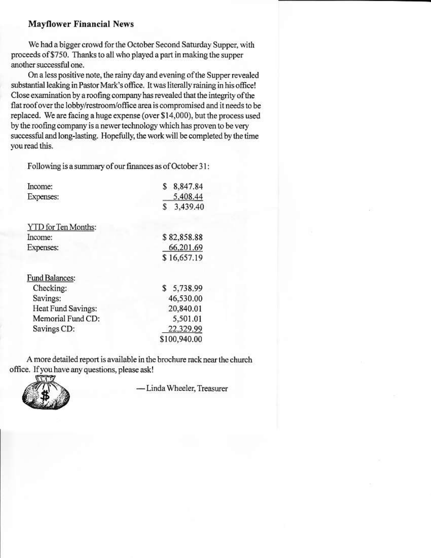#### **Mayflower Financial News**

We had a bigger crowd for the October Second Saturday Supper, with proceeds of \$750. Thanks to all who played a part in making the supper another successful one.

On a less positive note, the rainy day and evening of the Supper revealed substantial leaking in Pastor Mark's office. It was literally raining in his office! Close examination by a roofing company has revealed that the integrity of the flat roof over the lobby/restroom/office area is compromised and it needs to be replaced. We are facing a huge expense (over \$14,000), but the process used by the roofing company is a newer technology which has proven to be very successful and long-lasting. Hopefully, the work will be completed by the time you read this.

Following is a summary of our finances as of October 31:

| Income:               | 8,847.84<br>S  |
|-----------------------|----------------|
| Expenses:             | 5.408.44       |
|                       | 3,439.40<br>S. |
| YTD for Ten Months:   |                |
| Income:               | \$82,858.88    |
| Expenses:             | 66,201.69      |
|                       | \$16,657.19    |
| <b>Fund Balances:</b> |                |
| Checking:             | \$5,738.99     |
| Savings:              | 46,530.00      |
| Heat Fund Savings:    | 20,840.01      |
| Memorial Fund CD:     | 5,501.01       |
| Savings CD:           | 22,329.99      |
|                       | \$100,940.00   |

A more detailed report is available in the brochure rack near the church office. If you have any questions, please ask!



- Linda Wheeler, Treasurer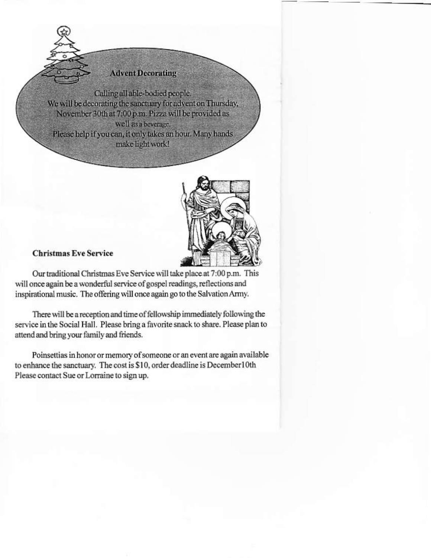#### **Advent Decorating**

Calling all able-bodied people. We will be decorating the sanctuary for advent on Thursday, November 30th at 7:00 p.m. Pizza will be provided as well as a beverage. Please help if you can, it only takes an hour. Many hands make light work!



#### **Christmas Eve Service**

Our traditional Christmas Eve Service will take place at 7:00 p.m. This will once again be a wonderful service of gospel readings, reflections and inspirational music. The offering will once again go to the Salvation Army.

There will be a reception and time of fellowship immediately following the service in the Social Hall. Please bring a favorite snack to share. Please plan to attend and bring your family and friends.

Poinsettias in honor or memory of someone or an event are again available to enhance the sanctuary. The cost is \$10, order deadline is December10th Please contact Sue or Lorraine to sign up.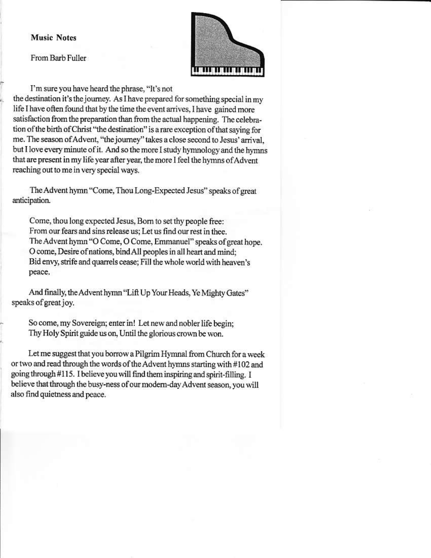#### **Music Notes**

From Barb Fuller



I'm sure you have heard the phrase, "It's not the destination it's the journey. As I have prepared for something special in my life I have often found that by the time the event arrives, I have gained more satisfaction from the preparation than from the actual happening. The celebration of the birth of Christ "the destination" is a rare exception of that saying for me. The season of Advent, "the journey" takes a close second to Jesus' arrival, but I love every minute of it. And so the more I study hymnology and the hymns that are present in my life year after year, the more I feel the hymns of Advent reaching out to me in very special ways.

The Advent hymn "Come, Thou Long-Expected Jesus" speaks of great anticipation.

Come, thou long expected Jesus, Born to set thy people free: From our fears and sins release us; Let us find our rest in thee. The Advent hymn "O Come, O Come, Emmanuel" speaks of great hope. O come, Desire of nations, bind All peoples in all heart and mind; Bid envy, strife and quarrels cease; Fill the whole world with heaven's peace.

And finally, the Advent hymn "Lift Up Your Heads, Ye Mighty Gates" speaks of great joy.

So come, my Sovereign; enter in! Let new and nobler life begin; Thy Holy Spirit guide us on, Until the glorious crown be won.

Let me suggest that you borrow a Pilgrim Hymnal from Church for a week or two and read through the words of the Advent hymns starting with #102 and going through #115. I believe you will find them inspiring and spirit-filling. I believe that through the busy-ness of our modern-day Advent season, you will also find quietness and peace.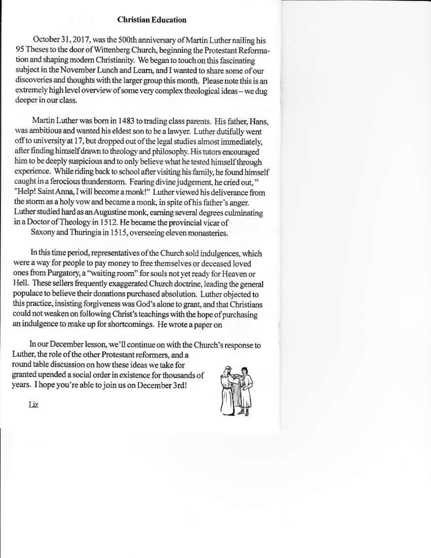#### **Christian Education**

October 31, 2017, was the 500th anniversary of Martin Luther nailing his 95 Theses to the door of Wittenberg Church, beginning the Protestant Reformation and shaping modern Christianity. We began to touch on this fascinating subject in the November Lunch and Learn, and I wanted to share some of our discoveries and thoughts with the larger group this month. Please note this is an extremely high level overview of some very complex theological ideas - we dug deeper in our class.

Martin Luther was born in 1483 to trading class parents. His father, Hans, was ambitious and wanted his eldest son to be a lawyer. Luther dutifully went off to university at 17, but dropped out of the legal studies almost immediately, after finding himself drawn to theology and philosophy. His tutors encouraged him to be deeply suspicious and to only believe what he tested himself through experience. While riding back to school after visiting his family, he found himself caught in a ferocious thunderstorm. Fearing divine judgement, he cried out," "Help! Saint Anna, I will become a monk!" Luther viewed his deliverance from the storm as a holy vow and became a monk, in spite of his father's anger. Luther studied hard as an Augustine monk, earning several degrees culminating in a Doctor of Theology in 1512. He became the provincial vicar of

Saxony and Thuringia in 1515, overseeing eleven monasteries.

In this time period, representatives of the Church sold indulgences, which were a way for people to pay money to free themselves or deceased loved ones from Purgatory, a "waiting room" for souls not yet ready for Heaven or Hell. These sellers frequently exaggerated Church doctrine, leading the general populace to believe their donations purchased absolution. Luther objected to this practice, insisting forgiveness was God's alone to grant, and that Christians could not weaken on following Christ's teachings with the hope of purchasing an indulgence to make up for shortcomings. He wrote a paper on

In our December lesson, we'll continue on with the Church's response to Luther, the role of the other Protestant reformers, and a round table discussion on how these ideas we take for granted upended a social order in existence for thousands of years. I hope you're able to join us on December 3rd!

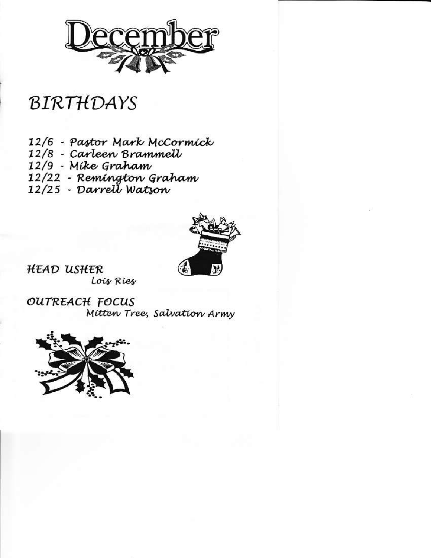

# BIRTHDAYS

- 12/6 Pastor Mark McCormick
- 12/8 Carleen Brammell
- 12/9 Míke Graham
- 12/22 Remington Graham
- 12/25 Darrett Watson



HEAD USHER Lois Ries

OUTREACH FOCUS Mitten Tree, Salvation Army